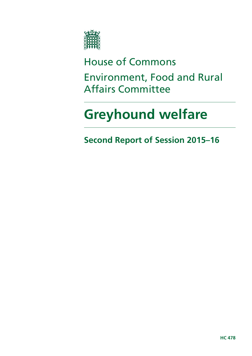

# House of Commons

Environment, Food and Rural Affairs Committee

# **Greyhound welfare**

**Second Report of Session 2015–16**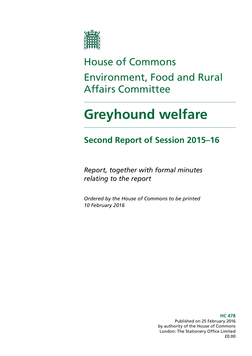

# House of Commons Environment, Food and Rural Affairs Committee

# **Greyhound welfare**

### **Second Report of Session 2015–16**

*Report, together with formal minutes relating to the report*

*Ordered by the House of Commons to be printed 10 February 2016*

> **HC 478** Published on 25 February 2016 by authority of the House of Commons London: The Stationery Office Limited £0.00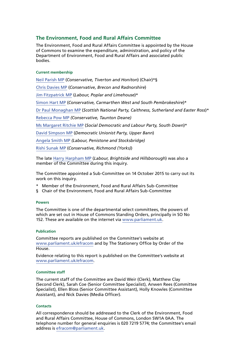#### **The Environment, Food and Rural Affairs Committee**

The Environment, Food and Rural Affairs Committee is appointed by the House of Commons to examine the expenditure, administration, and policy of the Department of Environment, Food and Rural Affairs and associated public bodies.

#### **Current membership**

[Neil Parish MP](http://www.parliament.uk/biographies/commons/neil-parish/4072) (*Conservative, Tiverton and Honiton*) (Chair)\*§ [Chris Davies MP](http://www.parliament.uk/biographies/commons/chris-davies/4376) (*Conservative, Brecon and Radnorshire*) [Jim Fitzpatrick MP](http://www.parliament.uk/biographies/commons/jim-fitzpatrick/197) (*Labour, Poplar and Limehouse*)\* [Simon Hart MP](http://www.parliament.uk/biographies/commons/simon-hart/3944) (*Conservative, Carmarthen West and South Pembrokeshire*)\* [Dr Paul Monaghan MP](http://www.parliament.uk/biographies/commons/dr-paul-monaghan/4383) (*Scottish National Party, Caithness, Sutherland and Easter Ross*)\* [Rebecca Pow MP](http://www.parliament.uk/biographies/commons/rebecca-pow/4522) *(Conservative, Taunton Deane)* [Ms Margaret Ritchie MP](http://www.parliament.uk/biographies/commons/ms-margaret-ritchie/4130) (*Social Democratic and Labour Party, South Down*)\* [David Simpson MP](http://www.parliament.uk/biographies/commons/david-simpson/1597) (*Democratic Unionist Party, Upper Bann*) [Angela Smith MP](http://www.parliament.uk/biographies/commons/angela-smith/1564) *(Labour, Penistone and Stocksbridge)* [Rishi Sunak MP](http://www.parliament.uk/biographies/commons/rishi-sunak/4483) (*Conservative, Richmond (Yorks)*)

The late [Harry Harpham MP](http://www.parliament.uk/biographies/commons/harry-harpham/4477) (*Labour, Brightside and Hillsborough*) was also a member of the Committee during this inquiry.

The Committee appointed a Sub-Committee on 14 October 2015 to carry out its work on this inquiry.

- \* Member of the Environment, Food and Rural Affairs Sub-Committee
- § Chair of the Environment, Food and Rural Affairs Sub-Committee

#### **Powers**

The Committee is one of the departmental select committees, the powers of which are set out in House of Commons Standing Orders, principally in SO No 152. These are available on the internet via [www.parliament.uk](http://www.parliament.uk).

#### **Publication**

Committee reports are published on the Committee's website at [www.parliament.uk/efracom](http://www.parliament.uk/efracom) and by The Stationery Office by Order of the House.

Evidence relating to this report is published on the Committee's website at [www.parliament.uk/efracom.](http://www.parliament.uk/efracom)

#### **Committee staff**

The current staff of the Committee are David Weir (Clerk), Matthew Clay (Second Clerk), Sarah Coe (Senior Committee Specialist), Anwen Rees (Committee Specialist), Ellen Bloss (Senior Committee Assistant), Holly Knowles (Committee Assistant), and Nick Davies (Media Officer).

#### **Contacts**

All correspondence should be addressed to the Clerk of the Environment, Food and Rural Affairs Committee, House of Commons, London SW1A 0AA. The telephone number for general enquiries is 020 7219 5774; the Committee's email address is [efracom@parliament.uk](mailto:efracom@parliament.uk).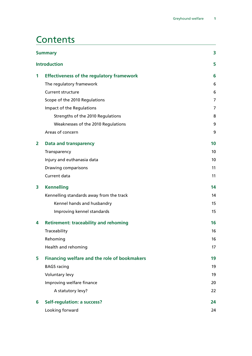### **Contents**

| <b>Summary</b> |                                                  | 3               |
|----------------|--------------------------------------------------|-----------------|
|                | <b>Introduction</b>                              | 5               |
| 1              | <b>Effectiveness of the regulatory framework</b> | 6               |
|                | The regulatory framework                         | 6               |
|                | <b>Current structure</b>                         | 6               |
|                | Scope of the 2010 Regulations                    | $\overline{7}$  |
|                | Impact of the Regulations                        | 7               |
|                | Strengths of the 2010 Regulations                | 8               |
|                | Weaknesses of the 2010 Regulations               | 9               |
|                | Areas of concern                                 | 9               |
| 2              | <b>Data and transparency</b>                     | 10              |
|                | Transparency                                     | 10 <sup>°</sup> |
|                | Injury and euthanasia data                       | 10              |
|                | Drawing comparisons                              | 11              |
|                | Current data                                     | 11              |
| 3              | <b>Kennelling</b>                                | 14              |
|                | Kennelling standards away from the track         | 14              |
|                | Kennel hands and husbandry                       | 15              |
|                | Improving kennel standards                       | 15              |
| 4              | <b>Retirement: traceability and rehoming</b>     | 16              |
|                | Traceability                                     | 16              |
|                | Rehoming                                         | 16              |
|                | Health and rehoming                              | 17              |
| 5              | Financing welfare and the role of bookmakers     | 19              |
|                | <b>BAGS</b> racing                               | 19              |
|                | <b>Voluntary levy</b>                            | 19              |
|                | Improving welfare finance                        | 20              |
|                | A statutory levy?                                | 22              |
| 6              | <b>Self-regulation: a success?</b>               | 24              |
|                | Looking forward                                  | 24              |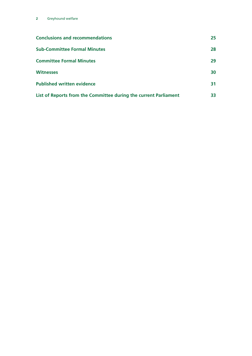| <b>Conclusions and recommendations</b>                           | 25 |
|------------------------------------------------------------------|----|
| <b>Sub-Committee Formal Minutes</b>                              | 28 |
| <b>Committee Formal Minutes</b>                                  | 29 |
| <b>Witnesses</b>                                                 | 30 |
| <b>Published written evidence</b>                                | 31 |
| List of Reports from the Committee during the current Parliament | 33 |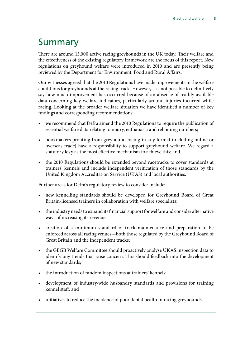### <span id="page-6-0"></span>Summary

There are around 15,000 active racing greyhounds in the UK today. Their welfare and the effectiveness of the existing regulatory framework are the focus of this report. New regulations on greyhound welfare were introduced in 2010 and are presently being reviewed by the Department for Environment, Food and Rural Affairs.

Our witnesses agreed that the 2010 Regulations have made improvements in the welfare conditions for greyhounds at the racing track. However, it is not possible to definitively say how much improvement has occurred because of an absence of readily available data concerning key welfare indicators, particularly around injuries incurred while racing. Looking at the broader welfare situation we have identified a number of key findings and corresponding recommendations:

- we recommend that Defra amend the 2010 Regulations to require the publication of essential welfare data relating to injury, euthanasia and rehoming numbers;
- bookmakers profiting from greyhound racing in any format (including online or overseas trade) have a responsibility to support greyhound welfare. We regard a statutory levy as the most effective mechanism to achieve this; and
- the 2010 Regulations should be extended beyond racetracks to cover standards at trainers' kennels and include independent verification of those standards by the United Kingdom Accreditation Service (UKAS) and local authorities.

Further areas for Defra's regulatory review to consider include:

- new kennelling standards should be developed for Greyhound Board of Great Britain-licensed trainers in collaboration with welfare specialists;
- the industry needs to expand its financial support for welfare and consider alternative ways of increasing its revenue;
- creation of a minimum standard of track maintenance and preparation to be enforced across all racing venues—both those regulated by the Greyhound Board of Great Britain and the independent tracks;
- the GBGB Welfare Committee should proactively analyse UKAS inspection data to identify any trends that raise concern. This should feedback into the development of new standards;
- the introduction of random inspections at trainers' kennels;
- development of industry-wide husbandry standards and provisions for training kennel staff; and
- initiatives to reduce the incidence of poor dental health in racing greyhounds.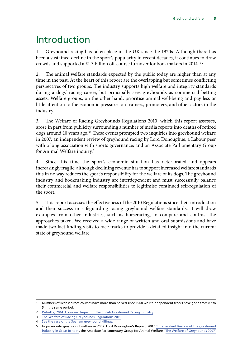### <span id="page-8-0"></span>Introduction

1. Greyhound racing has taken place in the UK since the 1920s. Although there has been a sustained decline in the sport's popularity in recent decades, it continues to draw crowds and supported a £1.3 billion off-course turnover for bookmakers in 2014.<sup>12</sup>

2. The animal welfare standards expected by the public today are higher than at any time in the past. At the heart of this report are the overlapping but sometimes conflicting perspectives of two groups. The industry supports high welfare and integrity standards during a dogs' racing career, but principally sees greyhounds as commercial betting assets. Welfare groups, on the other hand, prioritise animal well-being and pay less or little attention to the economic pressures on trainers, promoters, and other actors in the industry.

3. The Welfare of Racing Greyhounds Regulations 2010, which this report assesses, arose in part from publicity surrounding a number of media reports into deaths of retired dogs around 10 years ago.<sup>34</sup> These events prompted two inquiries into greyhound welfare in 2007: an independent review of greyhound racing by Lord Donoughue, a Labour peer with a long association with sports governance; and an Associate Parliamentary Group for Animal Welfare inquiry.5

4. Since this time the sport's economic situation has deteriorated and appears increasingly fragile: although declining revenue has to support increased welfare standards this in no way reduces the sport's responsibility for the welfare of its dogs. The greyhound industry and bookmaking industry are interdependent and must successfully balance their commercial and welfare responsibilities to legitimise continued self-regulation of the sport.

5. This report assesses the effectiveness of the 2010 Regulations since their introduction and their success in safeguarding racing greyhound welfare standards. It will draw examples from other industries, such as horseracing, to compare and contrast the approaches taken. We received a wide range of written and oral submissions and have made two fact-finding visits to race tracks to provide a detailed insight into the current state of greyhound welfare.

<sup>1</sup> Numbers of licensed race courses have more than halved since 1960 whilst independent tracks have gone from 87 to 5 in the same period.

<sup>2</sup> [Deloitte, 2014. Economic Impact of the British Greyhound Racing industry](http://cagro-greyhounds.co.uk/2014/03/12/gbgb-economic-report-2014/)

<sup>3</sup> [The Welfare of Racing Greyhounds Regulations 2010](http://www.legislation.gov.uk/ukdsi/2010/9780111490914/introduction)

<sup>4</sup> [See the case of the Seaham greyhound killings.](http://www.thesundaytimes.co.uk/sto/news/uk_news/article188296.ece)

<sup>5</sup> Inquiries into greyhound welfare in 2007: Lord Donoughue's Report, 2007 ['Independent Review of the greyhound](http://www.greyhounds-donoughue-report.co.uk/) [industry in Great Britain',](http://www.greyhounds-donoughue-report.co.uk/) the Associate Parliamentary Group for Animal Welfare ' [The Welfare of Greyhounds 2007'](http://www.apgaw.org/Data/Sites/1/pdfs/Report-of-APGAW-Inquiry-into-the-Welfare-of-Greyhounds.pdf)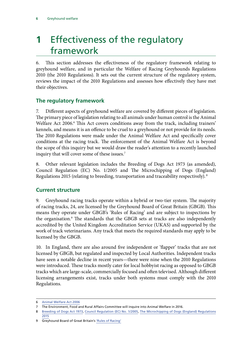# <span id="page-9-0"></span>**1** Effectiveness of the regulatory framework

6. This section addresses the effectiveness of the regulatory framework relating to greyhound welfare, and in particular the Welfare of Racing Greyhounds Regulations 2010 (the 2010 Regulations). It sets out the current structure of the regulatory system, reviews the impact of the 2010 Regulations and assesses how effectively they have met their objectives.

#### **The regulatory framework**

7. Different aspects of greyhound welfare are covered by different pieces of legislation. The primary piece of legislation relating to all animals under human control is the Animal Welfare Act 2006.<sup>6</sup> This Act covers conditions away from the track, including trainers' kennels, and means it is an offence to be cruel to a greyhound or not provide for its needs. The 2010 Regulations were made under the Animal Welfare Act and specifically cover conditions at the racing track. The enforcement of the Animal Welfare Act is beyond the scope of this inquiry but we would draw the reader's attention to a recently launched inquiry that will cover some of these issues.<sup>7</sup>

8. Other relevant legislation includes the Breeding of Dogs Act 1973 (as amended), Council Regulation (EC) No. 1/2005 and The Microchipping of Dogs (England) Regulations 2015 (relating to breeding, transportation and traceability respectively). <sup>8</sup>

#### **Current structure**

9. Greyhound racing tracks operate within a hybrid or two-tier system. The majority of racing tracks, 24, are licensed by the Greyhound Board of Great Britain (GBGB). This means they operate under GBGB's 'Rules of Racing' and are subject to inspections by the organisation.9 The standards that the GBGB sets at tracks are also independently accredited by the United Kingdom Accreditation Service (UKAS) and supported by the work of track veterinarians. Any track that meets the required standards may apply to be licensed by the GBGB.

10. In England, there are also around five independent or 'flapper' tracks that are not licensed by GBGB, but regulated and inspected by Local Authorities. Independent tracks have seen a notable decline in recent years—there were nine when the 2010 Regulations were introduced. These tracks mostly cater for local hobbyist racing as opposed to GBGB tracks which are large-scale, commercially focused and often televised. Although different licensing arrangements exist, tracks under both systems must comply with the 2010 Regulations.

<sup>6</sup> [Animal Welfare Act 2006](http://www.legislation.gov.uk/ukpga/2006/45/pdfs/ukpga_20060045_en.pdf)

<sup>7</sup> The Environment, Food and Rural Affairs Committee will inquire into Animal Welfare in 2016.

<sup>8</sup> [Breeding of Dogs Act 1973,](http://www.legislation.gov.uk/ukpga/1973/60) [Council Regulation \(EC\) No. 1/2005](https://www.agriculture.gov.ie/media/migration/animalhealthwelfare/transportofliveanimals/Council%20Regulation%201%20of%202005.pdf), [The Microchipping of Dogs \(England\) Regulations](http://www.legislation.gov.uk/ukdsi/2015/9780111125243) [2015](http://www.legislation.gov.uk/ukdsi/2015/9780111125243)

<sup>9</sup> Greyhound Board of Great Britain's ['Rules of Racing'](http://www.gbgb.org.uk/uploads/GBGB%20Rules%20of%20Racing%20January%202016.pdf)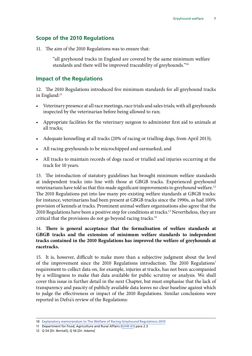#### <span id="page-10-0"></span>**Scope of the 2010 Regulations**

11. The aim of the 2010 Regulations was to ensure that:

"all greyhound tracks in England are covered by the same minimum welfare standards and there will be improved traceability of greyhounds."10

#### **Impact of the Regulations**

12. The 2010 Regulations introduced five minimum standards for all greyhound tracks in England:<sup>11</sup>

- Veterinary presence at all race meetings, race trials and sales trials; with all greyhounds inspected by the veterinarian before being allowed to run;
- Appropriate facilities for the veterinary surgeon to administer first aid to animals at all tracks;
- Adequate kennelling at all tracks (20% of racing or trialling dogs, from April 2013);
- All racing greyhounds to be microchipped and earmarked; and
- All tracks to maintain records of dogs raced or trialled and injuries occurring at the track for 10 years.

13. The introduction of statutory guidelines has brought minimum welfare standards at independent tracks into line with those at GBGB tracks. Experienced greyhound veterinarians have told us that this made significant improvements to greyhound welfare.<sup>12</sup> The 2010 Regulations put into law many pre-existing welfare standards at GBGB tracks: for instance, veterinarians had been present at GBGB tracks since the 1990s, as had 100% provision of kennels at tracks. Prominent animal welfare organisations also agree that the 2010 Regulations have been a positive step for conditions at tracks.<sup>13</sup> Nevertheless, they are critical that the provisions do not go beyond racing tracks.14

#### 14. **There is general acceptance that the formalisation of welfare standards at GBGB tracks and the extension of minimum welfare standards to independent tracks contained in the 2010 Regulations has improved the welfare of greyhounds at racetracks.**

15. It is, however, difficult to make more than a subjective judgment about the level of the improvement since the 2010 Regulations introduction. The 2010 Regulations' requirement to collect data on, for example, injuries at tracks, has not been accompanied by a willingness to make that data available for public scrutiny or analysis. We shall cover this issue in further detail in the next Chapter, but must emphasise that the lack of transparency and paucity of publicly available data leaves no clear baseline against which to judge the effectiveness or impact of the 2010 Regulations. Similar conclusions were reported in Defra's review of the Regulations:

<sup>10</sup> [Explanatory memorandum to The Welfare of Racing Greyhound Regulations 2010](http://www.legislation.gov.uk/ukdsi/2010/9780111489727/pdfs/ukdsiem_9780111489727_en.pdf)

<sup>11</sup> Department for Food, Agriculture and Rural Affairs [\(GHW 61](http://data.parliament.uk/writtenevidence/committeeevidence.svc/evidencedocument/environment-food-and-rural-affairs-subcommittee/greyhound-welfare/written/23200.pdf)) para 2.3

<sup>12</sup> Q 54 [Dr. Bentall], Q 56 [Dr. Adams]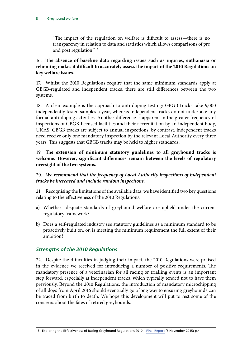<span id="page-11-0"></span>"The impact of the regulation on welfare is difficult to assess—there is no transparency in relation to data and statistics which allows comparisons of pre and post regulation."13

#### 16. **The absence of baseline data regarding issues such as injuries, euthanasia or rehoming makes it difficult to accurately assess the impact of the 2010 Regulations on key welfare issues.**

17. Whilst the 2010 Regulations require that the same minimum standards apply at GBGB-regulated and independent tracks, there are still differences between the two systems.

18. A clear example is the approach to anti-doping testing: GBGB tracks take 9,000 independently tested samples a year, whereas independent tracks do not undertake any formal anti-doping activities. Another difference is apparent in the greater frequency of inspections of GBGB-licensed facilities and their accreditation by an independent body, UKAS. GBGB tracks are subject to annual inspections, by contrast, independent tracks need receive only one mandatory inspection by the relevant Local Authority every three years. This suggests that GBGB tracks may be held to higher standards.

19. **The extension of minimum statutory guidelines to all greyhound tracks is welcome. However, significant differences remain between the levels of regulatory oversight of the two systems.**

#### 20. *We recommend that the frequency of Local Authority inspections of independent tracks be increased and include random inspections.*

21. Recognising the limitations of the available data, we have identified two key questions relating to the effectiveness of the 2010 Regulations:

- a) Whether adequate standards of greyhound welfare are upheld under the current regulatory framework?
- b) Does a self-regulated industry see statutory guidelines as a minimum standard to be proactively built on, or, is meeting the minimum requirement the full extent of their ambition?

#### *Strengths of the 2010 Regulations*

22. Despite the difficulties in judging their impact, the 2010 Regulations were praised in the evidence we received for introducing a number of positive requirements. The mandatory presence of a veterinarian for all racing or trialling events is an important step forward, especially at independent tracks, which typically tended not to have them previously. Beyond the 2010 Regulations, the introduction of mandatory microchipping of all dogs from April 2016 should eventually go a long way to ensuring greyhounds can be traced from birth to death. We hope this development will put to rest some of the concerns about the fates of retired greyhounds.

<sup>13</sup> Exploring the Effectiveness of Racing Greyhound Regulations 2010 - [Final Report](https://consult.defra.gov.uk/animal-health-and-welfare/consultation-on-the-racing-greyhounds-review/supporting_documents/DEFRA%20Greyhounds%20Report%20FINAL%20VERSION.pdf) (6 November 2015) p.4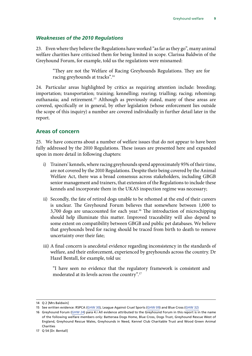#### <span id="page-12-0"></span>*Weaknesses of the 2010 Regulations*

23. Even where they believe the Regulations have worked "as far as they go", many animal welfare charities have criticised them for being limited in scope. Clarissa Baldwin of the Greyhound Forum, for example, told us the regulations were misnamed:

"They are not the Welfare of Racing Greyhounds Regulations. They are for racing greyhounds at tracks".14

24. Particular areas highlighted by critics as requiring attention include: breeding; importation; transportation; training; kennelling; rearing; trialling; racing; rehoming; euthanasia; and retirement.15 Although as previously stated, many of these areas are covered, specifically or in general, by other legislation (whose enforcement lies outside the scope of this inquiry) a number are covered individually in further detail later in the report.

#### **Areas of concern**

25. We have concerns about a number of welfare issues that do not appear to have been fully addressed by the 2010 Regulations. These issues are presented here and expanded upon in more detail in following chapters:

- i) Trainers' kennels, where racing greyhounds spend approximately 95% of their time, are not covered by the 2010 Regulations. Despite their being covered by the Animal Welfare Act, there was a broad consensus across stakeholders, including GBGB senior management and trainers, that extension of the Regulations to include these kennels and incorporate them in the UKAS inspection regime was necessary;
- ii) Secondly, the fate of retired dogs unable to be rehomed at the end of their careers is unclear. The Greyhound Forum believes that somewhere between 1,000 to 3,700 dogs are unaccounted for each year.<sup>16</sup> The introduction of microchipping should help illuminate this matter. Improved traceability will also depend to some extent on compatibility between GBGB and public pet databases. We believe that greyhounds bred for racing should be traced from birth to death to remove uncertainty over their fate;
- iii) A final concern is anecdotal evidence regarding inconsistency in the standards of welfare, and their enforcement, experienced by greyhounds across the country. Dr Hazel Bentall, for example, told us:

"I have seen no evidence that the regulatory framework is consistent and moderated at its levels across the country".17

<sup>14</sup> Q 2 [Mrs Baldwin]

<sup>15</sup> See written evidence: RSPCA [\(GHW 30\)](http://data.parliament.uk/writtenevidence/committeeevidence.svc/evidencedocument/environment-food-and-rural-affairs-subcommittee/greyhound-welfare/written/23111.pdf), League Against Cruel Sports ([GHW 09](http://data.parliament.uk/writtenevidence/committeeevidence.svc/evidencedocument/environment-food-and-rural-affairs-subcommittee/greyhound-welfare/written/22574.pdf)) and Blue Cross [\(GHW 32\)](http://data.parliament.uk/writtenevidence/committeeevidence.svc/evidencedocument/environment-food-and-rural-affairs-subcommittee/greyhound-welfare/written/23124.pdf)

<sup>16</sup> Greyhound Forum [\(GHW 24\)](http://data.parliament.uk/writtenevidence/committeeevidence.svc/evidencedocument/environment-food-and-rural-affairs-subcommittee/greyhound-welfare/written/23001.pdf) para 4.i All evidence attributed to the Greyhound Forum in this report is in the name of the following welfare members only: Battersea Dogs Home, Blue Cross, Dogs Trust, Greyhound Rescue West of England, Greyhound Rescue Wales, Greyhounds in Need, Kennel Club Charitable Trust and Wood Green Animal Charities

<sup>17</sup> Q 54 [Dr. Bentall]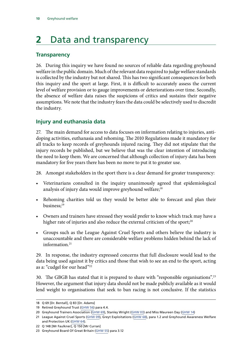# <span id="page-13-0"></span>**2** Data and transparency

#### **Transparency**

26. During this inquiry we have found no sources of reliable data regarding greyhound welfare in the public domain. Much of the relevant data required to judge welfare standards is collected by the industry but not shared. This has two significant consequences for both this inquiry and the sport at large. First, it is difficult to accurately assess the current level of welfare provision or to gauge improvements or deteriorations over time. Secondly, the absence of welfare data raises the suspicions of critics and sustains their negative assumptions. We note that the industry fears the data could be selectively used to discredit the industry.

#### **Injury and euthanasia data**

27. The main demand for access to data focuses on information relating to injuries, antidoping activities, euthanasia and rehoming. The 2010 Regulations made it mandatory for all tracks to keep records of greyhounds injured racing. They did not stipulate that the injury records be published, but we believe that was the clear intention of introducing the need to keep them. We are concerned that although collection of injury data has been mandatory for five years there has been no move to put it to greater use.

28. Amongst stakeholders in the sport there is a clear demand for greater transparency:

- Veterinarians consulted in the inquiry unanimously agreed that epidemiological analysis of injury data would improve greyhound welfare;<sup>18</sup>
- Rehoming charities told us they would be better able to forecast and plan their business;<sup>19</sup>
- Owners and trainers have stressed they would prefer to know which track may have a higher rate of injuries and also reduce the external criticism of the sport;<sup>20</sup>
- Groups such as the League Against Cruel Sports and others believe the industry is unaccountable and there are considerable welfare problems hidden behind the lack of information.<sup>21</sup>

29. In response, the industry expressed concerns that full disclosure would lead to the data being used against it by critics and those that wish to see an end to the sport, acting as a: "cudgel for our head"22

30. The GBGB has stated that it is prepared to share with "responsible organisations".<sup>23</sup> However, the argument that injury data should not be made publicly available as it would lend weight to organisations that seek to ban racing is not conclusive. If the statistics

<sup>18</sup> Q 69 [Dr. Bentall], Q 83 [Dr. Adams]

<sup>19</sup> Retired Greyhound Trust ([GHW 56\)](http://data.parliament.uk/writtenevidence/committeeevidence.svc/evidencedocument/environment-food-and-rural-affairs-subcommittee/greyhound-welfare/written/23187.pdf) para 4.4.

<sup>20</sup> Greyhound Trainers Association [\(GHW 69](http://data.parliament.uk/writtenevidence/committeeevidence.svc/evidencedocument/environment-food-and-rural-affairs-subcommittee/greyhound-welfare/written/24951.pdf)), Stanley Wright [\(GHW 03](http://data.parliament.uk/writtenevidence/committeeevidence.svc/evidencedocument/environment-food-and-rural-affairs-subcommittee/greyhound-welfare/written/22283.pdf)) and Miss Maureen Day ([GHW 14\)](http://data.parliament.uk/writtenevidence/committeeevidence.svc/evidencedocument/environment-food-and-rural-affairs-subcommittee/greyhound-welfare/written/22628.pdf)

<sup>21</sup> League Against Cruel Sports ([GHW 09](http://data.parliament.uk/writtenevidence/committeeevidence.svc/evidencedocument/environment-food-and-rural-affairs-subcommittee/greyhound-welfare/written/22574.pdf)), Greyt Exploitations ([GHW 68](http://data.parliament.uk/writtenevidence/committeeevidence.svc/evidencedocument/environment-food-and-rural-affairs-subcommittee/greyhound-welfare/written/24942.pdf)), para 1.2 and Greyhound Awareness Welfare and Protection UK [\(GHW 64\)](http://data.parliament.uk/writtenevidence/committeeevidence.svc/evidencedocument/environment-food-and-rural-affairs-subcommittee/greyhound-welfare/written/23213.pdf).

<sup>22</sup> Q 148 [Mr Faulkner], Q 150 [Mr Curran]

<sup>23</sup> Greyhound Board Of Great Britain [\(GHW 55](http://data.parliament.uk/writtenevidence/committeeevidence.svc/evidencedocument/environment-food-and-rural-affairs-subcommittee/greyhound-welfare/written/23180.pdf)) para 3.12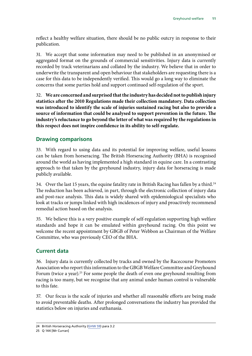<span id="page-14-0"></span>reflect a healthy welfare situation, there should be no public outcry in response to their publication.

31. We accept that some information may need to be published in an anonymised or aggregated format on the grounds of commercial sensitivities. Injury data is currently recorded by track veterinarians and collated by the industry. We believe that in order to underwrite the transparent and open behaviour that stakeholders are requesting there is a case for this data to be independently verified. This would go a long way to eliminate the concerns that some parties hold and support continued self-regulation of the sport.

32. **We are concerned and surprised that the industry has decided not to publish injury statistics after the 2010 Regulations made their collection mandatory. Data collection was introduced to identify the scale of injuries sustained racing but also to provide a source of information that could be analysed to support prevention in the future. The industry's reluctance to go beyond the letter of what was required by the regulations in this respect does not inspire confidence in its ability to self-regulate.**

#### **Drawing comparisons**

33. With regard to using data and its potential for improving welfare, useful lessons can be taken from horseracing. The British Horseracing Authority (BHA) is recognised around the world as having implemented a high standard in equine care. In a contrasting approach to that taken by the greyhound industry, injury data for horseracing is made publicly available.

34. Over the last 15 years, the equine fatality rate in British Racing has fallen by a third.<sup>24</sup> The reduction has been achieved, in part, through the electronic collection of injury data and post-race analysis. This data is widely shared with epidemiological specialists who look at tracks or jumps linked with high incidences of injury and proactively recommend remedial action based on the analysis.

35. We believe this is a very positive example of self-regulation supporting high welfare standards and hope it can be emulated within greyhound racing. On this point we welcome the recent appointment by GBGB of Peter Webbon as Chairman of the Welfare Committee, who was previously CEO of the BHA.

#### **Current data**

36. Injury data is currently collected by tracks and owned by the Racecourse Promoters Association who report this information to the GBGB Welfare Committee and Greyhound Forum (twice a year).<sup>25</sup> For some people the death of even one greyhound resulting from racing is too many, but we recognise that any animal under human control is vulnerable to this fate.

37. Our focus is the scale of injuries and whether all reasonable efforts are being made to avoid preventable deaths. After prolonged conversations the industry has provided the statistics below on injuries and euthanasia.

<sup>24</sup> British Horseracing Authority [\(GHW 59](http://data.parliament.uk/writtenevidence/committeeevidence.svc/evidencedocument/environment-food-and-rural-affairs-subcommittee/greyhound-welfare/written/23196.pdf)) para 3.2

<sup>25</sup> Q 144 [Mr Curran]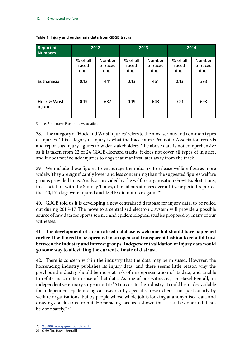| <b>Reported</b><br><b>Numbers</b> | 2012                      |                                   | 2013                      |                                   | 2014                      |                                   |
|-----------------------------------|---------------------------|-----------------------------------|---------------------------|-----------------------------------|---------------------------|-----------------------------------|
|                                   | % of all<br>raced<br>dogs | <b>Number</b><br>of raced<br>dogs | % of all<br>raced<br>dogs | <b>Number</b><br>of raced<br>dogs | % of all<br>raced<br>dogs | <b>Number</b><br>of raced<br>dogs |
| Euthanasia                        | 0.12                      | 441                               | 0.13                      | 461                               | 0.13                      | 393                               |
| Hock & Wrist<br>injuries          | 0.19                      | 687                               | 0.19                      | 643                               | 0.21                      | 693                               |

#### **Table 1: Injury and euthanasia data from GBGB tracks**

Source: Racecourse Promoters Association

38. The category of 'Hock and Wrist Injuries' refers to the most serious and common types of injuries. This category of injury is what the Racecourse Promoter Association records and reports as injury figures to wider stakeholders. The above data is not comprehensive as it is taken from 22 of 24 GBGB-licensed tracks, it does not cover all types of injuries, and it does not include injuries to dogs that manifest later away from the track.

39. We include these figures to encourage the industry to release welfare figures more widely. They are significantly lower and less concerning than the suggested figures welfare groups provided to us. Analysis provided by the welfare organisation Greyt Exploitations, in association with the Sunday Times, of incidents at races over a 10 year period reported that 40,151 dogs were injured and 18,410 did not race again. 26

40. GBGB told us it is developing a new centralised database for injury data, to be rolled out during 2016–17. The move to a centralised electronic system will provide a possible source of raw data for sports science and epidemiological studies proposed by many of our witnesses.

#### 41. **The development of a centralised database is welcome but should have happened earlier. It will need to be operated in an open and transparent fashion to rebuild trust between the industry and interest groups. Independent validation of injury data would go some way to alleviating the current climate of distrust.**

42. There is concern within the industry that the data may be misused. However, the horseracing industry publishes its injury data, and there seems little reason why the greyhound industry should be more at risk of misrepresentation of its data, and unable to refute inaccurate misuse of that data. As one of our witnesses, Dr Hazel Bentall, an independent veterinary surgeon put it: "At no cost to the industry, it could be made available for independent epidemiological research by specialist researchers—not particularly by welfare organisations, but by people whose whole job is looking at anonymised data and drawing conclusions from it. Horseracing has been shown that it can be done and it can be done safely." <sup>27</sup>

<sup>26</sup> ['40,000 racing greyhounds hurt'](http://greytexploitations.com/wp-content/uploads/2015/10/2-22-15Times.pdf) 

<sup>27</sup> Q 69 [Dr. Hazel Bentall]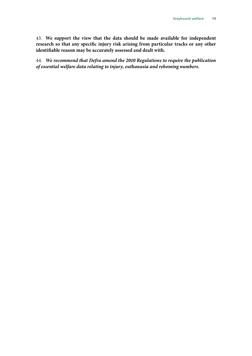43. **We support the view that the data should be made available for independent research so that any specific injury risk arising from particular tracks or any other identifiable reason may be accurately assessed and dealt with.**

44. *We recommend that Defra amend the 2010 Regulations to require the publication of essential welfare data relating to injury, euthanasia and rehoming numbers.*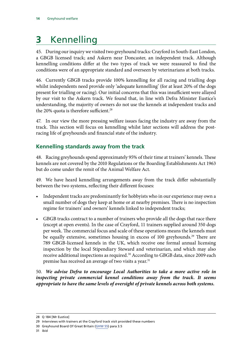# <span id="page-17-0"></span>**3** Kennelling

45. During our inquiry we visited two greyhound tracks: Crayford in South-East London, a GBGB licensed track; and Askern near Doncaster, an independent track. Although kennelling conditions differ at the two types of track we were reassured to find the conditions were of an appropriate standard and overseen by veterinarians at both tracks.

46. Currently GBGB tracks provide 100% kennelling for all racing and trialling dogs whilst independents need provide only 'adequate kennelling' (for at least 20% of the dogs present for trialling or racing). Our initial concerns that this was insufficient were allayed by our visit to the Askern track. We found that, in line with Defra Minister Eustice's understanding, the majority of owners do not use the kennels at independent tracks and the 20% quota is therefore sufficient.<sup>28</sup>

47. In our view the more pressing welfare issues facing the industry are away from the track. This section will focus on kennelling whilst later sections will address the postracing life of greyhounds and financial state of the industry.

#### **Kennelling standards away from the track**

48. Racing greyhounds spend approximately 95% of their time at trainers' kennels. These kennels are not covered by the 2010 Regulations or the Boarding Establishments Act 1963 but do come under the remit of the Animal Welfare Act.

49. We have heard kennelling arrangements away from the track differ substantially between the two systems, reflecting their different focuses:

- Independent tracks are predominantly for hobbyists who in our experience may own a small number of dogs they keep at home or at nearby premises. There is no inspection regime for trainers' and owners' kennels linked to independent tracks;
- GBGB tracks contract to a number of trainers who provide all the dogs that race there (except at open events). In the case of Crayford, 11 trainers supplied around 350 dogs per week. The commercial focus and scale of these operations means the kennels must be equally extensive, sometimes housing in excess of 100 greyhounds.<sup>29</sup> There are 789 GBGB-licensed kennels in the UK, which receive one formal annual licensing inspection by the local Stipendiary Steward and veterinarian, and which may also receive additional inspections as required.<sup>30</sup> According to GBGB data, since 2009 each premise has received an average of two visits a year.<sup>31</sup>

50. *We advise Defra to encourage Local Authorities to take a more active role in inspecting private commercial kennel conditions away from the track. It seems appropriate to have the same levels of oversight of private kennels across both systems.*

<sup>28</sup> Q 184 [Mr Eustice]

<sup>29</sup> Interviews with trainers at the Crayford track visit provided these numbers

<sup>30</sup> Greyhound Board Of Great Britain [\(GHW 55](http://data.parliament.uk/writtenevidence/committeeevidence.svc/evidencedocument/environment-food-and-rural-affairs-subcommittee/greyhound-welfare/written/23180.pdf)) para 3.5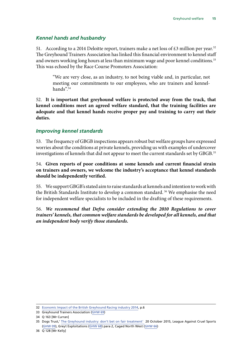#### <span id="page-18-0"></span>*Kennel hands and husbandry*

51. According to a 2014 Deloitte report, trainers make a net loss of  $\text{\pounds}3$  million per year.<sup>32</sup> The Greyhound Trainers Association has linked this financial environment to kennel staff and owners working long hours at less than minimum wage and poor kennel conditions.<sup>33</sup> This was echoed by the Race Course Promoters Association:

"We are very close, as an industry, to not being viable and, in particular, not meeting our commitments to our employees, who are trainers and kennelhands".34

52. **It is important that greyhound welfare is protected away from the track, that kennel conditions meet an agreed welfare standard, that the training facilities are adequate and that kennel hands receive proper pay and training to carry out their duties.**

#### *Improving kennel standards*

53. The frequency of GBGB inspections appears robust but welfare groups have expressed worries about the conditions at private kennels, providing us with examples of undercover investigations of kennels that did not appear to meet the current standards set by GBGB.<sup>35</sup>

54. **Given reports of poor conditions at some kennels and current financial strain on trainers and owners, we welcome the industry's acceptance that kennel standards should be independently verified.**

55. We support GBGB's stated aim to raise standards at kennels and intention to work with the British Standards Institute to develop a common standard. 36 We emphasise the need for independent welfare specialists to be included in the drafting of these requirements.

56. *We recommend that Defra consider extending the 2010 Regulations to cover trainers' kennels, that common welfare standards be developed for all kennels, and that an independent body verify those standards.*

<sup>32</sup> [Economic Impact of the British Greyhound Racing industry 2014,](http://cagro-greyhounds.co.uk/2014/03/12/gbgb-economic-report-2014/) p.6

<sup>33</sup> Greyhound Trainers Association [\(GHW 69](http://data.parliament.uk/writtenevidence/committeeevidence.svc/evidencedocument/environment-food-and-rural-affairs-subcommittee/greyhound-welfare/written/24951.pdf))

<sup>34</sup> Q 163 [Mr Curran]

<sup>35</sup> Dogs Trust,' [The Greyhound industry: don't bet on fair treatment'](https://www.dogstrust.org.uk/whats-happening/issues-campaigns/greyhounds/the-greyhound-industry-dont-bet-on-fair-treatment) 20 October 2015, League Against Cruel Sports ([GHW 09\)](http://data.parliament.uk/writtenevidence/committeeevidence.svc/evidencedocument/environment-food-and-rural-affairs-subcommittee/greyhound-welfare/written/22574.pdf), Greyt Exploitations [\(GHW 68](http://data.parliament.uk/writtenevidence/committeeevidence.svc/evidencedocument/environment-food-and-rural-affairs-subcommittee/greyhound-welfare/written/24942.pdf)) para 2, Caged North West [\(GHW 66](http://data.parliament.uk/writtenevidence/committeeevidence.svc/evidencedocument/environment-food-and-rural-affairs-subcommittee/greyhound-welfare/written/23343.pdf))

<sup>36</sup> Q 128 [Mr Kelly]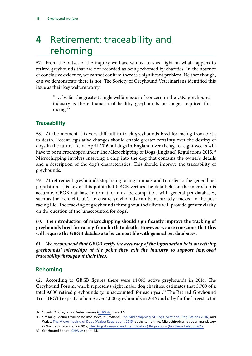# <span id="page-19-0"></span>**4** Retirement: traceability and rehoming

57. From the outset of the inquiry we have wanted to shed light on what happens to retired greyhounds that are not recorded as being rehomed by charities. In the absence of conclusive evidence, we cannot confirm there is a significant problem. Neither though, can we demonstrate there is not. The Society of Greyhound Veterinarians identified this issue as their key welfare worry:

" … by far the greatest single welfare issue of concern in the U.K. greyhound industry is the euthanasia of healthy greyhounds no longer required for racing."37

#### **Traceability**

58. At the moment it is very difficult to track greyhounds bred for racing from birth to death. Recent legislative changes should enable greater certainty over the destiny of dogs in the future. As of April 2016, all dogs in England over the age of eight weeks will have to be microchipped under The Microchipping of Dogs (England) Regulations 2015.<sup>38</sup> Microchipping involves inserting a chip into the dog that contains the owner's details and a description of the dog's characteristics. This should improve the traceability of greyhounds.

59. At retirement greyhounds stop being racing animals and transfer to the general pet population. It is key at this point that GBGB verifies the data held on the microchip is accurate. GBGB database information must be compatible with general pet databases, such as the Kennel Club's, to ensure greyhounds can be accurately tracked in the post racing life. The tracking of greyhounds throughout their lives will provide greater clarity on the question of the 'unaccounted for dogs'.

60. **The introduction of microchipping should significantly improve the tracking of greyhounds bred for racing from birth to death. However, we are conscious that this will require the GBGB database to be compatible with general pet databases.**

61. *We recommend that GBGB verify the accuracy of the information held on retiring greyhounds' microchips at the point they exit the industry to support improved traceability throughout their lives.*

#### **Rehoming**

62. According to GBGB figures there were 14,095 active greyhounds in 2014. The Greyhound Forum, which represents eight major dog charities, estimates that 3,700 of a total 9,000 retired greyhounds go 'unaccounted' for each year.<sup>39</sup> The Retired Greyhound Trust (RGT) expects to home over 4,000 greyhounds in 2015 and is by far the largest actor

<sup>37</sup> Society Of Greyhound Veterinarians [\(GHW 49](http://data.parliament.uk/writtenevidence/committeeevidence.svc/evidencedocument/environment-food-and-rural-affairs-subcommittee/greyhound-welfare/written/23162.pdf)) para 3.5

<sup>38</sup> Similar guidelines will come into force in Scotland, [The Microchipping of Dogs \(Scotland\) Regulations 2016,](http://www.legislation.gov.uk/sdsi/2016/9780111030127/pdfs/sdsi_9780111030127_en.pdf) and Wales, [The Microchipping of Dogs \(Wales\) Regulations 2015,](http://www.senedd.assembly.wales/mgIssueHistoryHome.aspx?IId=13680) at the same time. Microchipping has been mandatory in Northern Ireland since 2012, [The Dogs \(Licensing and Identification\) Regulations \(Northern Ireland\) 2012](http://www.legislation.gov.uk/nisr/2012/132/part/4/made)

<sup>39</sup> Greyhound Forum ([GHW 24\)](http://data.parliament.uk/writtenevidence/committeeevidence.svc/evidencedocument/environment-food-and-rural-affairs-subcommittee/greyhound-welfare/written/23001.pdf) para 4.i.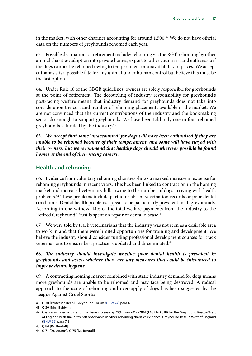<span id="page-20-0"></span>in the market, with other charities accounting for around  $1,500<sup>40</sup>$  We do not have official data on the numbers of greyhounds rehomed each year.

63. Possible destinations at retirement include: rehoming via the RGT; rehoming by other animal charities; adoption into private homes; export to other countries; and euthanasia if the dogs cannot be rehomed owing to temperament or unavailability of places. We accept euthanasia is a possible fate for any animal under human control but believe this must be the last option.

64. Under Rule 18 of the GBGB guidelines, owners are solely responsible for greyhounds at the point of retirement. The decoupling of industry responsibility for greyhound's post-racing welfare means that industry demand for greyhounds does not take into consideration the cost and number of rehoming placements available in the market. We are not convinced that the current contributions of the industry and the bookmaking sector do enough to support greyhounds. We have been told only one in four rehomed greyhounds is funded by the industry.<sup>41</sup>

65. *We accept that some 'unaccounted' for dogs will have been euthanised if they are unable to be rehomed because of their temperament, and some will have stayed with their owners, but we recommend that healthy dogs should wherever possible be found homes at the end of their racing careers.*

#### **Health and rehoming**

66. Evidence from voluntary rehoming charities shows a marked increase in expense for rehoming greyhounds in recent years. This has been linked to contraction in the homing market and increased veterinary bills owing to the number of dogs arriving with health problems.42 These problems include partial or absent vaccination records or poor dental conditions. Dental health problems appear to be particularly prevalent in all greyhounds. According to one witness, 14% of the total welfare payments from the industry to the Retired Greyhound Trust is spent on repair of dental disease.<sup>43</sup>

67. We were told by track veterinarians that the industry was not seen as a desirable area to work in and that there were limited opportunities for training and development. We believe the industry should consider funding professional development courses for track veterinarians to ensure best practice is updated and disseminated.<sup>44</sup>

#### 68. *The industry should investigate whether poor dental health is prevalent in greyhounds and assess whether there are any measures that could be introduced to improve dental hygiene.*

69. A contracting homing market combined with static industry demand for dogs means more greyhounds are unable to be rehomed and may face being destroyed. A radical approach to the issue of rehoming and oversupply of dogs has been suggested by the League Against Cruel Sports:

<sup>40</sup> Q 30 [Professor Dean], Greyhound Forum ([GHW 24\)](http://data.parliament.uk/writtenevidence/committeeevidence.svc/evidencedocument/environment-food-and-rural-affairs-subcommittee/greyhound-welfare/written/23001.pdf) para 4.i

<sup>41</sup> Q 30 [Mrs. Baldwin]

<sup>42</sup> Costs associated with rehoming have increase by 70% from 2012–2014 (£483 to £818) for the Greyhound Rescue West of England with similar trends observable in other rehoming charities evidence. Greyhound Rescue West of England ([GHW 26\)](http://data.parliament.uk/writtenevidence/committeeevidence.svc/evidencedocument/environment-food-and-rural-affairs-subcommittee/greyhound-welfare/written/23060.pdf) para 7.5

<sup>43</sup> Q 84 [Dr. Bentall]

<sup>44</sup> Q 71 [Dr. Adams], Q 75 [Dr. Bentall]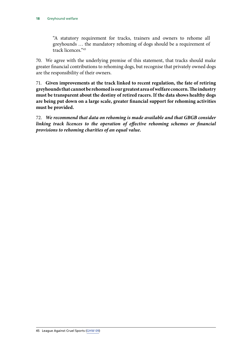"A statutory requirement for tracks, trainers and owners to rehome all greyhounds … the mandatory rehoming of dogs should be a requirement of track licences<sup>"45</sup>

70. We agree with the underlying premise of this statement, that tracks should make greater financial contributions to rehoming dogs, but recognise that privately owned dogs are the responsibility of their owners.

71. **Given improvements at the track linked to recent regulation, the fate of retiring greyhounds that cannot be rehomed is our greatest area of welfare concern. The industry must be transparent about the destiny of retired racers. If the data shows healthy dogs are being put down on a large scale, greater financial support for rehoming activities must be provided.**

72. *We recommend that data on rehoming is made available and that GBGB consider linking track licences to the operation of effective rehoming schemes or financial provisions to rehoming charities of an equal value.*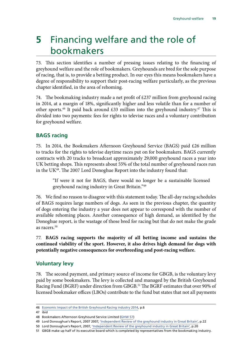# <span id="page-22-0"></span>**5** Financing welfare and the role of bookmakers

73. This section identifies a number of pressing issues relating to the financing of greyhound welfare and the role of bookmakers. Greyhounds are bred for the sole purpose of racing, that is, to provide a betting product. In our eyes this means bookmakers have a degree of responsibility to support their post-racing welfare particularly, as the previous chapter identified, in the area of rehoming.

74. The bookmaking industry made a net profit of £237 million from greyhound racing in 2014, at a margin of 18%, significantly higher and less volatile than for a number of other sports.<sup>46</sup> It paid back around £33 million into the greyhound industry.<sup>47</sup> This is divided into two payments: fees for rights to televise races and a voluntary contribution for greyhound welfare.

#### **BAGS racing**

75. In 2014, the Bookmakers Afternoon Greyhound Service (BAGS) paid £26 million to tracks for the rights to televise daytime races put on for bookmakers. BAGS currently contracts with 20 tracks to broadcast approximately 29,000 greyhound races a year into UK betting shops. This represents about 55% of the total number of greyhound races run in the UK48. The 2007 Lord Donoghue Report into the industry found that:

"If were it not for BAGS, there would no longer be a sustainable licensed greyhound racing industry in Great Britain."49

76. We find no reason to disagree with this statement today. The all-day racing schedules of BAGS requires large numbers of dogs. As seen in the previous chapter, the quantity of dogs entering the industry a year does not appear to correspond with the number of available rehoming places. Another consequence of high demand, as identified by the Donoghue report, is the wastage of those bred for racing but that do not make the grade as racers.<sup>50</sup>

77. **BAGS racing supports the majority of all betting income and sustains the continued viability of the sport. However, it also drives high demand for dogs with potentially negative consequences for overbreeding and post-racing welfare.**

#### **Voluntary levy**

78. The second payment, and primary source of income for GBGB, is the voluntary levy paid by some bookmakers. The levy is collected and managed by the British Greyhound Racing Fund (BGRF) under direction from GBGB.<sup>51</sup> The BGRF estimates that over 90% of licensed bookmaker offices (LBOs) contribute to the fund but states that not all payments

<sup>46</sup> [Economic Impact of the British Greyhound Racing industry 2014,](http://cagro-greyhounds.co.uk/2014/03/12/gbgb-economic-report-2014/) p.6

<sup>47</sup> ibid

<sup>48</sup> Bookmakers Afternoon Greyhound Service Limited ([GHW 57\)](http://data.parliament.uk/writtenevidence/committeeevidence.svc/evidencedocument/environment-food-and-rural-affairs-subcommittee/greyhound-welfare/written/23189.pdf)

<sup>49</sup> Lord Donoughue's Report, 2007 2007, ['Independent Review of the greyhound industry in Great Britain',](http://www.greyhounds-donoughue-report.co.uk/) p.22

<sup>50</sup> Lord Donoughue's Report, 2007, ['Independent Review of the greyhound industry in Great Britain'](http://www.greyhounds-donoughue-report.co.uk/), p.20

<sup>51</sup> GBGB make up half of its executive board which is completed by representatives from the bookmaking industry.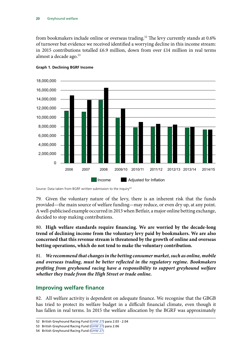<span id="page-23-0"></span>from bookmakers include online or overseas trading.<sup>52</sup> The levy currently stands at 0.6% of turnover but evidence we received identified a worrying decline in this income stream: in 2015 contributions totalled £6.9 million, down from over £14 million in real terms almost a decade ago.<sup>53</sup>



#### **Graph 1. Declining BGRF Income**

Source: Data taken from BGRF written submission to the inquiry<sup>54</sup>

79. Given the voluntary nature of the levy, there is an inherent risk that the funds provided—the main source of welfare funding—may reduce, or even dry up, at any point. A well-publicised example occurred in 2013 when Betfair, a major online betting exchange, decided to stop making contributions.

80. **High welfare standards require financing. We are worried by the decade-long trend of declining income from the voluntary levy paid by bookmakers. We are also concerned that this revenue stream is threatened by the growth of online and overseas betting operations, which do not tend to make the voluntary contribution.**

81. *We recommend that changes in the betting consumer market, such as online, mobile and overseas trading, must be better reflected in the regulatory regime. Bookmakers profiting from greyhound racing have a responsibility to support greyhound welfare whether they trade from the High Street or trade online.*

#### **Improving welfare finance**

82. All welfare activity is dependent on adequate finance. We recognise that the GBGB has tried to protect its welfare budget in a difficult financial climate, even though it has fallen in real terms. In 2015 the welfare allocation by the BGRF was approximately

<sup>52</sup> British Greyhound Racing Fund [\(GHW 27](http://data.parliament.uk/writtenevidence/committeeevidence.svc/evidencedocument/environment-food-and-rural-affairs-subcommittee/greyhound-welfare/written/23076.pdf)) para 2.03 - 2.04

<sup>53</sup> British Greyhound Racing Fund [\(GHW 27](http://data.parliament.uk/writtenevidence/committeeevidence.svc/evidencedocument/environment-food-and-rural-affairs-subcommittee/greyhound-welfare/written/23076.pdf)) para 2.06

<sup>54</sup> British Greyhound Racing Fund [\(GHW 27](http://data.parliament.uk/writtenevidence/committeeevidence.svc/evidencedocument/environment-food-and-rural-affairs-subcommittee/greyhound-welfare/written/23076.pdf))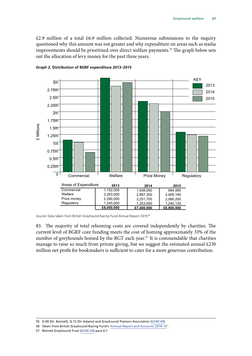$£2.9$  million of a total  $£6.9$  million collected. Numerous submissions to the inquiry questioned why this amount was not greater and why expenditure on areas such as stadia improvements should be prioritised over direct welfare payments.<sup>55</sup> The graph below sets out the allocation of levy money for the past three years.



#### **Graph 2. Distribution of BGRF expenditure 2013–2015**

Source: Data taken from British Greyhound Racing Fund Annual Report 201556

83. The majority of total rehoming costs are covered independently by charities. The current level of BGRF core funding meets the cost of homing approximately 33% of the number of greyhounds homed by the RGT each year.<sup>57</sup> It is commendable that charities manage to raise so much from private giving, but we suggest the estimated annual  $£230$ million net profit for bookmakers is sufficient to cater for a more generous contribution.

<sup>55</sup> Q 69 [Dr. Bentall], Q 72 [Dr Adams] and Greyhound Trainers Association [\(GHW 69](http://data.parliament.uk/writtenevidence/committeeevidence.svc/evidencedocument/environment-food-and-rural-affairs-subcommittee/greyhound-welfare/written/24951.pdf))

<sup>56</sup> Taken from British Greyhound Racing Fund's ['Annual Report and Accounts 2014–15'](http://www.bgrf.org.uk/20500_BGRF_AReport_A_2015_dl.pdf) -

<sup>57</sup> Retired Greyhound Trust ([GHW 56\)](http://data.parliament.uk/writtenevidence/committeeevidence.svc/evidencedocument/environment-food-and-rural-affairs-subcommittee/greyhound-welfare/written/23187.pdf) para 6.7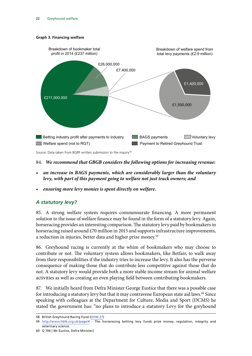<span id="page-25-0"></span>



#### 84. *We recommend that GBGB considers the following options for increasing revenue:*

- *an increase in BAGS payments, which are considerably larger than the voluntary levy, with part of this payment going to welfare not just track owners; and*
- *ensuring more levy monies is spent directly on welfare.*

#### *A statutory levy?*

85. A strong welfare system requires commensurate financing. A more permanent solution to the issue of welfare finance may be found in the form of a statutory levy. Again, horseracing provides an interesting comparison. The statutory levy paid by bookmakers in horseracing raised around  $\text{\textsterling}70$  million in 2015 and supports infrastructure improvements, a reduction in injuries, better data and higher prize money.<sup>59</sup>

86. Greyhound racing is currently at the whim of bookmakers who may choose to contribute or not. The voluntary system allows bookmakers, like Betfair, to walk away from their responsibilities if the industry tries to increase the levy. It also has the perverse consequence of making those that do contribute less competitive against those that do not. A statutory levy would provide both a more stable income stream for animal welfare activities as well as creating an even playing field between contributing bookmakers.

87. We initially heard from Defra Minister George Eustice that there was a possible case for introducing a statutory levy but that it may contravene European state aid laws.<sup>60</sup> Since speaking with colleagues at the Department for Culture, Media and Sport (DCMS) he stated the government has: "no plans to introduce a statutory Levy for the greyhound

<sup>58</sup> British Greyhound Racing Fund [\(GHW 27](http://data.parliament.uk/writtenevidence/committeeevidence.svc/evidencedocument/environment-food-and-rural-affairs-subcommittee/greyhound-welfare/written/23076.pdf))

<sup>59</sup> <http://www.hblb.org.uk/page/4> - The horseracing betting levy funds prize money, regulation, integrity and veterinary science.

<sup>60</sup> Q 196 [ Mr Eustice, Defra Minister]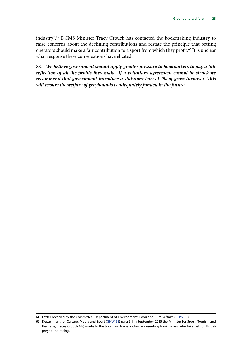industry".61 DCMS Minister Tracy Crouch has contacted the bookmaking industry to raise concerns about the declining contributions and restate the principle that betting operators should make a fair contribution to a sport from which they profit.<sup>62</sup> It is unclear what response these conversations have elicited.

88. *We believe government should apply greater pressure to bookmakers to pay a fair reflection of all the profits they make. If a voluntary agreement cannot be struck we recommend that government introduce a statutory levy of 1% of gross turnover. This will ensure the welfare of greyhounds is adequately funded in the future.*

<sup>61</sup> Letter received by the Committee, Department of Environment, Food and Rural Affairs [\(GHW 75](http://data.parliament.uk/writtenevidence/committeeevidence.svc/evidencedocument/environment-food-and-rural-affairs-subcommittee/greyhound-welfare/written/27889.pdf))

<sup>62</sup> Department for Culture, Media and Sport [\(GHW 28\)](http://data.parliament.uk/writtenevidence/committeeevidence.svc/evidencedocument/environment-food-and-rural-affairs-subcommittee/greyhound-welfare/written/23080.pdf) para 5.1 In September 2015 the Minister for Sport, Tourism and Heritage, Tracey Crouch MP, wrote to the two main trade bodies representing bookmakers who take bets on British greyhound racing.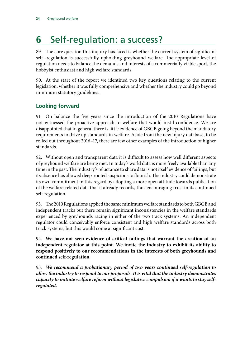# <span id="page-27-0"></span>**6** Self-regulation: a success?

89. The core question this inquiry has faced is whether the current system of significant self- regulation is successfully upholding greyhound welfare. The appropriate level of regulation needs to balance the demands and interests of a commercially viable sport, the hobbyist enthusiast and high welfare standards.

90. At the start of the report we identified two key questions relating to the current legislation: whether it was fully comprehensive and whether the industry could go beyond minimum statutory guidelines.

#### **Looking forward**

91. On balance the five years since the introduction of the 2010 Regulations have not witnessed the proactive approach to welfare that would instil confidence. We are disappointed that in general there is little evidence of GBGB going beyond the mandatory requirements to drive up standards in welfare. Aside from the new injury database, to be rolled out throughout 2016–17, there are few other examples of the introduction of higher standards.

92. Without open and transparent data it is difficult to assess how well different aspects of greyhound welfare are being met. In today's world data is more freely available than any time in the past. The industry's reluctance to share data is not itself evidence of failings, but its absence has allowed deep-rooted suspicions to flourish. The industry could demonstrate its own commitment in this regard by adopting a more open attitude towards publication of the welfare-related data that it already records, thus encouraging trust in its continued self-regulation.

93. The 2010 Regulations applied the same minimum welfare standards to both GBGB and independent tracks but there remain significant inconsistencies in the welfare standards experienced by greyhounds racing in either of the two track systems. An independent regulator could conceivably enforce consistent and high welfare standards across both track systems, but this would come at significant cost.

94. **We have not seen evidence of critical failings that warrant the creation of an independent regulator at this point. We invite the industry to exhibit its ability to respond positively to our recommendations in the interests of both greyhounds and continued self-regulation.**

95. *We recommend a probationary period of two years continued self-regulation to allow the industry to respond to our proposals. It is vital that the industry demonstrates capacity to initiate welfare reform without legislative compulsion if it wants to stay selfregulated.*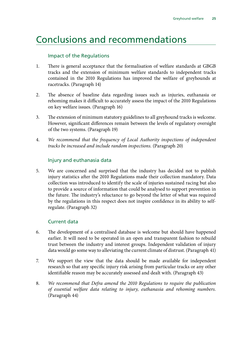### <span id="page-28-0"></span>Conclusions and recommendations

#### Impact of the Regulations

- 1. There is general acceptance that the formalisation of welfare standards at GBGB tracks and the extension of minimum welfare standards to independent tracks contained in the 2010 Regulations has improved the welfare of greyhounds at racetracks. (Paragraph 14)
- 2. The absence of baseline data regarding issues such as injuries, euthanasia or rehoming makes it difficult to accurately assess the impact of the 2010 Regulations on key welfare issues. (Paragraph 16)
- 3. The extension of minimum statutory guidelines to all greyhound tracks is welcome. However, significant differences remain between the levels of regulatory oversight of the two systems. (Paragraph 19)
- 4. *We recommend that the frequency of Local Authority inspections of independent tracks be increased and include random inspections.* (Paragraph 20)

#### Injury and euthanasia data

5. We are concerned and surprised that the industry has decided not to publish injury statistics after the 2010 Regulations made their collection mandatory. Data collection was introduced to identify the scale of injuries sustained racing but also to provide a source of information that could be analysed to support prevention in the future. The industry's reluctance to go beyond the letter of what was required by the regulations in this respect does not inspire confidence in its ability to selfregulate. (Paragraph 32)

#### Current data

- 6. The development of a centralised database is welcome but should have happened earlier. It will need to be operated in an open and transparent fashion to rebuild trust between the industry and interest groups. Independent validation of injury data would go some way to alleviating the current climate of distrust. (Paragraph 41)
- 7. We support the view that the data should be made available for independent research so that any specific injury risk arising from particular tracks or any other identifiable reason may be accurately assessed and dealt with. (Paragraph 43)
- 8. *We recommend that Defra amend the 2010 Regulations to require the publication of essential welfare data relating to injury, euthanasia and rehoming numbers.* (Paragraph 44)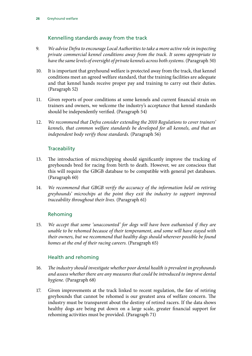#### Kennelling standards away from the track

- 9. *We advise Defra to encourage Local Authorities to take a more active role in inspecting private commercial kennel conditions away from the track. It seems appropriate to have the same levels of oversight of private kennels across both systems.* (Paragraph 50)
- 10. It is important that greyhound welfare is protected away from the track, that kennel conditions meet an agreed welfare standard, that the training facilities are adequate and that kennel hands receive proper pay and training to carry out their duties. (Paragraph 52)
- 11. Given reports of poor conditions at some kennels and current financial strain on trainers and owners, we welcome the industry's acceptance that kennel standards should be independently verified. (Paragraph 54)
- 12. *We recommend that Defra consider extending the 2010 Regulations to cover trainers' kennels, that common welfare standards be developed for all kennels, and that an independent body verify those standards.* (Paragraph 56)

#### **Traceability**

- 13. The introduction of microchipping should significantly improve the tracking of greyhounds bred for racing from birth to death. However, we are conscious that this will require the GBGB database to be compatible with general pet databases. (Paragraph 60)
- 14. *We recommend that GBGB verify the accuracy of the information held on retiring greyhounds' microchips at the point they exit the industry to support improved traceability throughout their lives.* (Paragraph 61)

#### Rehoming

15. *We accept that some 'unaccounted' for dogs will have been euthanised if they are unable to be rehomed because of their temperament, and some will have stayed with their owners, but we recommend that healthy dogs should wherever possible be found homes at the end of their racing careers.* (Paragraph 65)

#### Health and rehoming

- 16. *The industry should investigate whether poor dental health is prevalent in greyhounds and assess whether there are any measures that could be introduced to improve dental hygiene.* (Paragraph 68)
- 17. Given improvements at the track linked to recent regulation, the fate of retiring greyhounds that cannot be rehomed is our greatest area of welfare concern. The industry must be transparent about the destiny of retired racers. If the data shows healthy dogs are being put down on a large scale, greater financial support for rehoming activities must be provided. (Paragraph 71)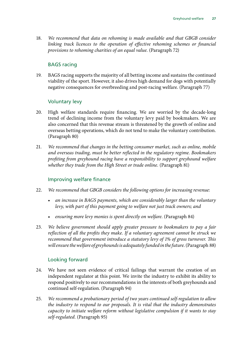18. *We recommend that data on rehoming is made available and that GBGB consider linking track licences to the operation of effective rehoming schemes or financial provisions to rehoming charities of an equal value.* (Paragraph 72)

#### BAGS racing

19. BAGS racing supports the majority of all betting income and sustains the continued viability of the sport. However, it also drives high demand for dogs with potentially negative consequences for overbreeding and post-racing welfare. (Paragraph 77)

#### Voluntary levy

- 20. High welfare standards require financing. We are worried by the decade-long trend of declining income from the voluntary levy paid by bookmakers. We are also concerned that this revenue stream is threatened by the growth of online and overseas betting operations, which do not tend to make the voluntary contribution. (Paragraph 80)
- 21. *We recommend that changes in the betting consumer market, such as online, mobile and overseas trading, must be better reflected in the regulatory regime. Bookmakers profiting from greyhound racing have a responsibility to support greyhound welfare*  whether they trade from the High Street or trade online. (Paragraph 81)

#### Improving welfare finance

- 22. *We recommend that GBGB considers the following options for increasing revenue:*
	- *an increase in BAGS payments, which are considerably larger than the voluntary levy, with part of this payment going to welfare not just track owners; and*
	- *ensuring more levy monies is spent directly on welfare.* (Paragraph 84)
- 23. *We believe government should apply greater pressure to bookmakers to pay a fair reflection of all the profits they make. If a voluntary agreement cannot be struck we recommend that government introduce a statutory levy of 1% of gross turnover. This will ensure the welfare of greyhounds is adequately funded in the future.* (Paragraph 88)

#### Looking forward

- 24. We have not seen evidence of critical failings that warrant the creation of an independent regulator at this point. We invite the industry to exhibit its ability to respond positively to our recommendations in the interests of both greyhounds and continued self-regulation. (Paragraph 94)
- 25. *We recommend a probationary period of two years continued self-regulation to allow the industry to respond to our proposals. It is vital that the industry demonstrates capacity to initiate welfare reform without legislative compulsion if it wants to stay self-regulated.* (Paragraph 95)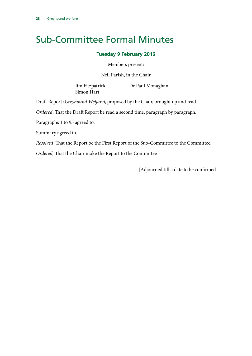# <span id="page-31-0"></span>Sub-Committee Formal Minutes

#### **Tuesday 9 February 2016**

Members present:

Neil Parish, in the Chair

Simon Hart

Jim Fitzpatrick Dr Paul Monaghan

Draft Report (*Greyhound Welfare*), proposed by the Chair, brought up and read.

*Ordered*, That the Draft Report be read a second time, paragraph by paragraph.

Paragraphs 1 to 95 agreed to.

Summary agreed to.

*Resolved*, That the Report be the First Report of the Sub-Committee to the Committee.

*Ordered,* That the Chair make the Report to the Committee

[Adjourned till a date to be confirmed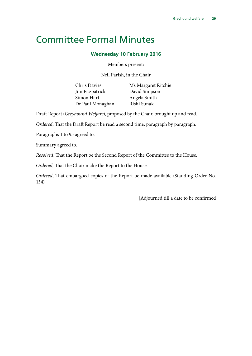### <span id="page-32-0"></span>Committee Formal Minutes

#### **Wednesday 10 February 2016**

Members present:

Neil Parish, in the Chair

Jim Fitzpatrick David Simpson Simon Hart Angela Smith Dr Paul Monaghan Rishi Sunak

Chris Davies Ms Margaret Ritchie

Draft Report (*Greyhound Welfare*), proposed by the Chair, brought up and read.

*Ordered*, That the Draft Report be read a second time, paragraph by paragraph.

Paragraphs 1 to 95 agreed to.

Summary agreed to.

*Resolved*, That the Report be the Second Report of the Committee to the House.

*Ordered*, That the Chair make the Report to the House.

*Ordered*, That embargoed copies of the Report be made available (Standing Order No. 134).

[Adjourned till a date to be confirmed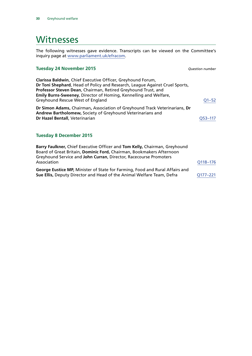### <span id="page-33-0"></span>**Witnesses**

The following witnesses gave evidence. Transcripts can be viewed on the Committee's inquiry page at [www.parliament.uk/efracom](http://www.parliament.uk/efracom).

#### **Tuesday 24 November 2015** *Question number*

| Clarissa Baldwin, Chief Executive Officer, Greyhound Forum,                 |           |
|-----------------------------------------------------------------------------|-----------|
| Dr Toni Shephard, Head of Policy and Research, League Against Cruel Sports, |           |
| Professor Steven Dean, Chairman, Retired Greyhound Trust, and               |           |
| <b>Emily Burns-Sweeney, Director of Homing, Kennelling and Welfare,</b>     |           |
| Greyhound Rescue West of England                                            | $Q1 - 52$ |
| Dr Simon Adams, Chairman, Association of Greyhound Track Veterinarians, Dr  |           |

**Andrew Bartholomew,** Society of Greyhound Veterinarians and **Dr Hazel Bentall, Veterinarian [Q53–117](http://data.parliament.uk/writtenevidence/committeeevidence.svc/evidencedocument/environment-food-and-rural-affairs-subcommittee/greyhound-welfare/oral/25181.html)** 

#### **Tuesday 8 December 2015**

| Barry Faulkner, Chief Executive Officer and Tom Kelly, Chairman, Greyhound<br>Board of Great Britain, Dominic Ford, Chairman, Bookmakers Afternoon<br>Greyhound Service and John Curran, Director, Racecourse Promoters |              |
|-------------------------------------------------------------------------------------------------------------------------------------------------------------------------------------------------------------------------|--------------|
| Association                                                                                                                                                                                                             | Q118-176     |
| George Eustice MP, Minister of State for Farming, Food and Rural Affairs and<br>Sue Ellis, Deputy Director and Head of the Animal Welfare Team, Defra                                                                   | $O177 - 221$ |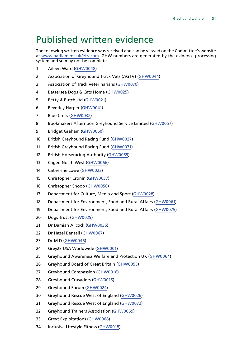## <span id="page-34-0"></span>Published written evidence

The following written evidence was received and can be viewed on the Committee's website at [www.parliament.uk/efracom.](http://www.parliament.uk/efracom) GHW numbers are generated by the evidence processing system and so may not be complete.

- Aileen Ward ([GHW0048](http://data.parliament.uk/WrittenEvidence/CommitteeEvidence.svc/EvidenceDocument/Environment,%20Food%20and%20Rural%20Affairs%20SubCommittee/Greyhound%20welfare/written/23156.html))
- Association of Greyhound Track Vets (AGTV) ([GHW0044](http://data.parliament.uk/WrittenEvidence/CommitteeEvidence.svc/EvidenceDocument/Environment,%20Food%20and%20Rural%20Affairs%20SubCommittee/Greyhound%20welfare/written/23141.html))
- Association of Track Veterinarians [\(GHW0070](http://data.parliament.uk/WrittenEvidence/CommitteeEvidence.svc/EvidenceDocument/Environment,%20Food%20and%20Rural%20Affairs%20SubCommittee/Greyhound%20welfare/written/25098.html))
- Battersea Dogs & Cats Home ([GHW0025\)](http://data.parliament.uk/WrittenEvidence/CommitteeEvidence.svc/EvidenceDocument/Environment,%20Food%20and%20Rural%20Affairs%20SubCommittee/Greyhound%20welfare/written/23002.html)
- Betty & Butch Ltd ([GHW0021\)](http://data.parliament.uk/WrittenEvidence/CommitteeEvidence.svc/EvidenceDocument/Environment,%20Food%20and%20Rural%20Affairs%20SubCommittee/Greyhound%20welfare/written/22904.html)
- Beverley Harper [\(GHW0041\)](http://data.parliament.uk/WrittenEvidence/CommitteeEvidence.svc/EvidenceDocument/Environment,%20Food%20and%20Rural%20Affairs%20SubCommittee/Greyhound%20welfare/written/23138.html)
- Blue Cross ([GHW0032\)](http://data.parliament.uk/WrittenEvidence/CommitteeEvidence.svc/EvidenceDocument/Environment,%20Food%20and%20Rural%20Affairs%20SubCommittee/Greyhound%20welfare/written/23124.html)
- Bookmakers Afternoon Greyhound Service Limited ([GHW0057](http://data.parliament.uk/WrittenEvidence/CommitteeEvidence.svc/EvidenceDocument/Environment,%20Food%20and%20Rural%20Affairs%20SubCommittee/Greyhound%20welfare/written/23189.html))
- Bridget Graham [\(GHW0060\)](http://data.parliament.uk/WrittenEvidence/CommitteeEvidence.svc/EvidenceDocument/Environment,%20Food%20and%20Rural%20Affairs%20SubCommittee/Greyhound%20welfare/written/23198.html)
- British Greyhound Racing Fund [\(GHW0027](http://data.parliament.uk/WrittenEvidence/CommitteeEvidence.svc/EvidenceDocument/Environment,%20Food%20and%20Rural%20Affairs%20SubCommittee/Greyhound%20welfare/written/23076.html))
- British Greyhound Racing Fund [\(GHW0071](http://data.parliament.uk/WrittenEvidence/CommitteeEvidence.svc/EvidenceDocument/Environment,%20Food%20and%20Rural%20Affairs%20SubCommittee/Greyhound%20welfare/written/25968.html))
- British Horseracing Authority ([GHW0059\)](http://data.parliament.uk/WrittenEvidence/CommitteeEvidence.svc/EvidenceDocument/Environment,%20Food%20and%20Rural%20Affairs%20SubCommittee/Greyhound%20welfare/written/23196.html)
- Caged North West [\(GHW0066\)](http://data.parliament.uk/WrittenEvidence/CommitteeEvidence.svc/EvidenceDocument/Environment,%20Food%20and%20Rural%20Affairs%20SubCommittee/Greyhound%20welfare/written/23343.html)
- Catherine Lowe [\(GHW0023](http://data.parliament.uk/WrittenEvidence/CommitteeEvidence.svc/EvidenceDocument/Environment,%20Food%20and%20Rural%20Affairs%20SubCommittee/Greyhound%20welfare/written/22968.html))
- Christopher Cronin [\(GHW0037](http://data.parliament.uk/WrittenEvidence/CommitteeEvidence.svc/EvidenceDocument/Environment,%20Food%20and%20Rural%20Affairs%20SubCommittee/Greyhound%20welfare/written/23134.html))
- Christopher Snoop ([GHW0050](http://data.parliament.uk/WrittenEvidence/CommitteeEvidence.svc/EvidenceDocument/Environment,%20Food%20and%20Rural%20Affairs%20SubCommittee/Greyhound%20welfare/written/23166.html))
- Department for Culture, Media and Sport [\(GHW0028](http://data.parliament.uk/WrittenEvidence/CommitteeEvidence.svc/EvidenceDocument/Environment,%20Food%20and%20Rural%20Affairs%20SubCommittee/Greyhound%20welfare/written/23080.html))
- Department for Environment, Food and Rural Affairs [\(GHW0061\)](http://data.parliament.uk/WrittenEvidence/CommitteeEvidence.svc/EvidenceDocument/Environment,%20Food%20and%20Rural%20Affairs%20SubCommittee/Greyhound%20welfare/written/23200.html)
- Department for Environment, Food and Rural Affairs [\(GHW0075](http://data.parliament.uk/WrittenEvidence/CommitteeEvidence.svc/EvidenceDocument/Environment, Food and Rural Affairs SubCommittee/Greyhound welfare/written/27889.html))
- Dogs Trust [\(GHW0029\)](http://data.parliament.uk/WrittenEvidence/CommitteeEvidence.svc/EvidenceDocument/Environment,%20Food%20and%20Rural%20Affairs%20SubCommittee/Greyhound%20welfare/written/23090.html)
- Dr Damian Allcock [\(GHW0036\)](http://data.parliament.uk/WrittenEvidence/CommitteeEvidence.svc/EvidenceDocument/Environment,%20Food%20and%20Rural%20Affairs%20SubCommittee/Greyhound%20welfare/written/23132.html)
- Dr Hazel Bentall [\(GHW0067\)](http://data.parliament.uk/WrittenEvidence/CommitteeEvidence.svc/EvidenceDocument/Environment,%20Food%20and%20Rural%20Affairs%20SubCommittee/Greyhound%20welfare/written/24060.html)
- Dr M D ([GHW0046\)](http://data.parliament.uk/WrittenEvidence/CommitteeEvidence.svc/EvidenceDocument/Environment,%20Food%20and%20Rural%20Affairs%20SubCommittee/Greyhound%20welfare/written/23143.html)
- Grey2k USA Worldwide [\(GHW0001](http://data.parliament.uk/WrittenEvidence/CommitteeEvidence.svc/EvidenceDocument/Environment,%20Food%20and%20Rural%20Affairs%20SubCommittee/Greyhound%20welfare/written/22262.html))
- Greyhound Awareness Welfare and Protection UK ([GHW0064](http://data.parliament.uk/WrittenEvidence/CommitteeEvidence.svc/EvidenceDocument/Environment,%20Food%20and%20Rural%20Affairs%20SubCommittee/Greyhound%20welfare/written/23213.html))
- Greyhound Board of Great Britain [\(GHW0055](http://data.parliament.uk/WrittenEvidence/CommitteeEvidence.svc/EvidenceDocument/Environment,%20Food%20and%20Rural%20Affairs%20SubCommittee/Greyhound%20welfare/written/23180.html))
- Greyhound Compassion ([GHW0016](http://data.parliament.uk/WrittenEvidence/CommitteeEvidence.svc/EvidenceDocument/Environment,%20Food%20and%20Rural%20Affairs%20SubCommittee/Greyhound%20welfare/written/22838.html))
- Greyhound Crusaders [\(GHW0015\)](http://data.parliament.uk/WrittenEvidence/CommitteeEvidence.svc/EvidenceDocument/Environment,%20Food%20and%20Rural%20Affairs%20SubCommittee/Greyhound%20welfare/written/22631.html)
- Greyhound Forum ([GHW0024\)](http://data.parliament.uk/WrittenEvidence/CommitteeEvidence.svc/EvidenceDocument/Environment,%20Food%20and%20Rural%20Affairs%20SubCommittee/Greyhound%20welfare/written/23001.html)
- Greyhound Rescue West of England ([GHW0026\)](http://data.parliament.uk/WrittenEvidence/CommitteeEvidence.svc/EvidenceDocument/Environment,%20Food%20and%20Rural%20Affairs%20SubCommittee/Greyhound%20welfare/written/23060.html)
- Greyhound Rescue West of England ([GHW0072\)](http://data.parliament.uk/WrittenEvidence/CommitteeEvidence.svc/EvidenceDocument/Environment,%20Food%20and%20Rural%20Affairs%20SubCommittee/Greyhound%20welfare/written/25969.html)
- Greyhound Trainers Association [\(GHW0069\)](http://data.parliament.uk/WrittenEvidence/CommitteeEvidence.svc/EvidenceDocument/Environment,%20Food%20and%20Rural%20Affairs%20SubCommittee/Greyhound%20welfare/written/24951.html)
- Greyt Exploitations [\(GHW0068\)](http://data.parliament.uk/WrittenEvidence/CommitteeEvidence.svc/EvidenceDocument/Environment,%20Food%20and%20Rural%20Affairs%20SubCommittee/Greyhound%20welfare/written/24942.html)
- Inclusive Lifestyle Fitness [\(GHW0018\)](http://data.parliament.uk/WrittenEvidence/CommitteeEvidence.svc/EvidenceDocument/Environment,%20Food%20and%20Rural%20Affairs%20SubCommittee/Greyhound%20welfare/written/22842.html)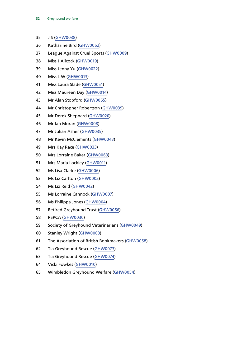- J S [\(GHW0038](http://data.parliament.uk/WrittenEvidence/CommitteeEvidence.svc/EvidenceDocument/Environment,%20Food%20and%20Rural%20Affairs%20SubCommittee/Greyhound%20welfare/written/23135.html))
- Katharine Bird [\(GHW0062\)](http://data.parliament.uk/WrittenEvidence/CommitteeEvidence.svc/EvidenceDocument/Environment,%20Food%20and%20Rural%20Affairs%20SubCommittee/Greyhound%20welfare/written/23202.html)
- League Against Cruel Sports [\(GHW0009](http://data.parliament.uk/WrittenEvidence/CommitteeEvidence.svc/EvidenceDocument/Environment,%20Food%20and%20Rural%20Affairs%20SubCommittee/Greyhound%20welfare/written/22574.html))
- Miss J Allcock [\(GHW0019\)](http://data.parliament.uk/WrittenEvidence/CommitteeEvidence.svc/EvidenceDocument/Environment,%20Food%20and%20Rural%20Affairs%20SubCommittee/Greyhound%20welfare/written/22883.html)
- Miss Jenny Yu [\(GHW0022](http://data.parliament.uk/WrittenEvidence/CommitteeEvidence.svc/EvidenceDocument/Environment,%20Food%20and%20Rural%20Affairs%20SubCommittee/Greyhound%20welfare/written/22918.html))
- Miss L W [\(GHW0013](http://data.parliament.uk/WrittenEvidence/CommitteeEvidence.svc/EvidenceDocument/Environment,%20Food%20and%20Rural%20Affairs%20SubCommittee/Greyhound%20welfare/written/22623.html))
- Miss Laura Slade [\(GHW0051\)](http://data.parliament.uk/WrittenEvidence/CommitteeEvidence.svc/EvidenceDocument/Environment,%20Food%20and%20Rural%20Affairs%20SubCommittee/Greyhound%20welfare/written/23168.html)
- Miss Maureen Day [\(GHW0014\)](http://data.parliament.uk/WrittenEvidence/CommitteeEvidence.svc/EvidenceDocument/Environment,%20Food%20and%20Rural%20Affairs%20SubCommittee/Greyhound%20welfare/written/22628.html)
- Mr Alan Stopford [\(GHW0065\)](http://data.parliament.uk/WrittenEvidence/CommitteeEvidence.svc/EvidenceDocument/Environment,%20Food%20and%20Rural%20Affairs%20SubCommittee/Greyhound%20welfare/written/23214.html)
- Mr Christopher Robertson [\(GHW0039](http://data.parliament.uk/WrittenEvidence/CommitteeEvidence.svc/EvidenceDocument/Environment,%20Food%20and%20Rural%20Affairs%20SubCommittee/Greyhound%20welfare/written/23136.html))
- Mr Derek Sheppard [\(GHW0020](http://data.parliament.uk/WrittenEvidence/CommitteeEvidence.svc/EvidenceDocument/Environment,%20Food%20and%20Rural%20Affairs%20SubCommittee/Greyhound%20welfare/written/22891.html))
- Mr Ian Moran [\(GHW0008\)](http://data.parliament.uk/WrittenEvidence/CommitteeEvidence.svc/EvidenceDocument/Environment,%20Food%20and%20Rural%20Affairs%20SubCommittee/Greyhound%20welfare/written/22573.html)
- Mr Julian Asher ([GHW0035\)](http://data.parliament.uk/WrittenEvidence/CommitteeEvidence.svc/EvidenceDocument/Environment,%20Food%20and%20Rural%20Affairs%20SubCommittee/Greyhound%20welfare/written/23131.html)
- Mr Kevin McClements [\(GHW0043\)](http://data.parliament.uk/WrittenEvidence/CommitteeEvidence.svc/EvidenceDocument/Environment,%20Food%20and%20Rural%20Affairs%20SubCommittee/Greyhound%20welfare/written/23140.html)
- Mrs Kay Race [\(GHW0033](http://data.parliament.uk/WrittenEvidence/CommitteeEvidence.svc/EvidenceDocument/Environment,%20Food%20and%20Rural%20Affairs%20SubCommittee/Greyhound%20welfare/written/23129.html))
- Mrs Lorraine Baker ([GHW0063](http://data.parliament.uk/WrittenEvidence/CommitteeEvidence.svc/EvidenceDocument/Environment,%20Food%20and%20Rural%20Affairs%20SubCommittee/Greyhound%20welfare/written/23203.html))
- Mrs Maria Lockley [\(GHW0011\)](http://data.parliament.uk/WrittenEvidence/CommitteeEvidence.svc/EvidenceDocument/Environment,%20Food%20and%20Rural%20Affairs%20SubCommittee/Greyhound%20welfare/written/22619.html)
- Ms Lisa Clarke [\(GHW0006\)](http://data.parliament.uk/WrittenEvidence/CommitteeEvidence.svc/EvidenceDocument/Environment,%20Food%20and%20Rural%20Affairs%20SubCommittee/Greyhound%20welfare/written/22545.html)
- Ms Liz Carlton ([GHW0002](http://data.parliament.uk/WrittenEvidence/CommitteeEvidence.svc/EvidenceDocument/Environment,%20Food%20and%20Rural%20Affairs%20SubCommittee/Greyhound%20welfare/written/22266.html))
- Ms Liz Reid ([GHW0042](http://data.parliament.uk/WrittenEvidence/CommitteeEvidence.svc/EvidenceDocument/Environment,%20Food%20and%20Rural%20Affairs%20SubCommittee/Greyhound%20welfare/written/23139.html))
- Ms Lorraine Cannock ([GHW0007](http://data.parliament.uk/WrittenEvidence/CommitteeEvidence.svc/EvidenceDocument/Environment,%20Food%20and%20Rural%20Affairs%20SubCommittee/Greyhound%20welfare/written/22556.html))
- Ms Philippa Jones [\(GHW0004\)](http://data.parliament.uk/WrittenEvidence/CommitteeEvidence.svc/EvidenceDocument/Environment,%20Food%20and%20Rural%20Affairs%20SubCommittee/Greyhound%20welfare/written/22530.html)
- Retired Greyhound Trust [\(GHW0056\)](http://data.parliament.uk/WrittenEvidence/CommitteeEvidence.svc/EvidenceDocument/Environment,%20Food%20and%20Rural%20Affairs%20SubCommittee/Greyhound%20welfare/written/23187.html)
- RSPCA [\(GHW0030](http://data.parliament.uk/WrittenEvidence/CommitteeEvidence.svc/EvidenceDocument/Environment,%20Food%20and%20Rural%20Affairs%20SubCommittee/Greyhound%20welfare/written/23111.html))
- Society of Greyhound Veterinarians [\(GHW0049\)](http://data.parliament.uk/WrittenEvidence/CommitteeEvidence.svc/EvidenceDocument/Environment,%20Food%20and%20Rural%20Affairs%20SubCommittee/Greyhound%20welfare/written/23162.html)
- Stanley Wright ([GHW0003](http://data.parliament.uk/WrittenEvidence/CommitteeEvidence.svc/EvidenceDocument/Environment,%20Food%20and%20Rural%20Affairs%20SubCommittee/Greyhound%20welfare/written/22283.html))
- The Association of British Bookmakers [\(GHW0058\)](http://data.parliament.uk/WrittenEvidence/CommitteeEvidence.svc/EvidenceDocument/Environment,%20Food%20and%20Rural%20Affairs%20SubCommittee/Greyhound%20welfare/written/23190.html)
- Tia Greyhound Rescue [\(GHW0073](http://data.parliament.uk/WrittenEvidence/CommitteeEvidence.svc/EvidenceDocument/Environment, Food and Rural Affairs SubCommittee/Greyhound welfare/written/26648.html))
- Tia Greyhound Rescue [\(GHW0074\)](http://data.parliament.uk/WrittenEvidence/CommitteeEvidence.svc/EvidenceDocument/Environment, Food and Rural Affairs SubCommittee/Greyhound welfare/written/26649.html)
- Vicki Fowkes [\(GHW0010\)](http://data.parliament.uk/WrittenEvidence/CommitteeEvidence.svc/EvidenceDocument/Environment,%20Food%20and%20Rural%20Affairs%20SubCommittee/Greyhound%20welfare/written/22618.html)
- Wimbledon Greyhound Welfare [\(GHW0054\)](http://data.parliament.uk/WrittenEvidence/CommitteeEvidence.svc/EvidenceDocument/Environment,%20Food%20and%20Rural%20Affairs%20SubCommittee/Greyhound%20welfare/written/23177.html)